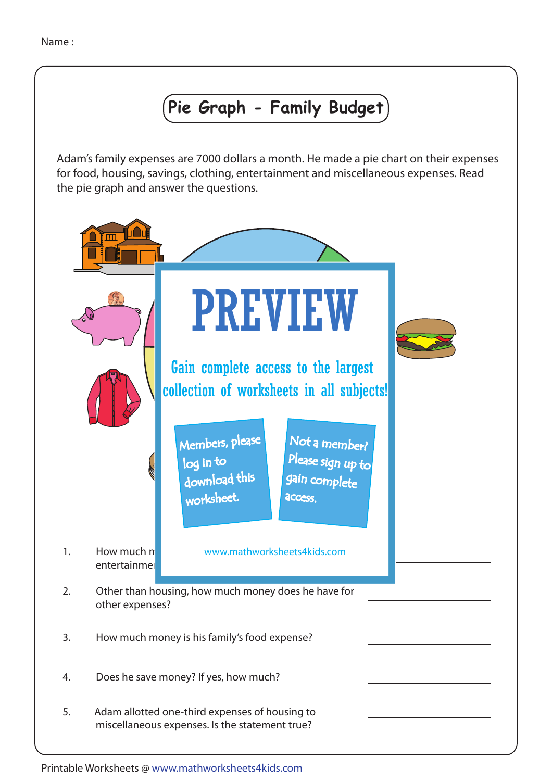## **Pie Graph - Family Budget**

Adam's family expenses are 7000 dollars a month. He made a pie chart on their expenses for food, housing, savings, clothing, entertainment and miscellaneous expenses. Read the pie graph and answer the questions.